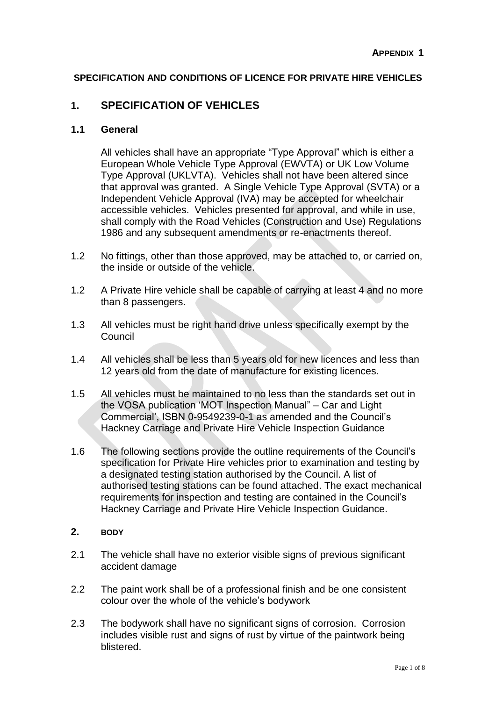## **SPECIFICATION AND CONDITIONS OF LICENCE FOR PRIVATE HIRE VEHICLES**

## **1. SPECIFICATION OF VEHICLES**

#### **1.1 General**

All vehicles shall have an appropriate "Type Approval" which is either a European Whole Vehicle Type Approval (EWVTA) or UK Low Volume Type Approval (UKLVTA). Vehicles shall not have been altered since that approval was granted. A Single Vehicle Type Approval (SVTA) or a Independent Vehicle Approval (IVA) may be accepted for wheelchair accessible vehicles. Vehicles presented for approval, and while in use, shall comply with the Road Vehicles (Construction and Use) Regulations 1986 and any subsequent amendments or re-enactments thereof.

- 1.2 No fittings, other than those approved, may be attached to, or carried on, the inside or outside of the vehicle.
- 1.2 A Private Hire vehicle shall be capable of carrying at least 4 and no more than 8 passengers.
- 1.3 All vehicles must be right hand drive unless specifically exempt by the Council
- 1.4 All vehicles shall be less than 5 years old for new licences and less than 12 years old from the date of manufacture for existing licences.
- 1.5 All vehicles must be maintained to no less than the standards set out in the VOSA publication 'MOT Inspection Manual" – Car and Light Commercial', ISBN 0-9549239-0-1 as amended and the Council's Hackney Carriage and Private Hire Vehicle Inspection Guidance
- 1.6 The following sections provide the outline requirements of the Council's specification for Private Hire vehicles prior to examination and testing by a designated testing station authorised by the Council. A list of authorised testing stations can be found attached. The exact mechanical requirements for inspection and testing are contained in the Council's Hackney Carriage and Private Hire Vehicle Inspection Guidance.
- **2. BODY**
- 2.1 The vehicle shall have no exterior visible signs of previous significant accident damage
- 2.2 The paint work shall be of a professional finish and be one consistent colour over the whole of the vehicle's bodywork
- 2.3 The bodywork shall have no significant signs of corrosion. Corrosion includes visible rust and signs of rust by virtue of the paintwork being blistered.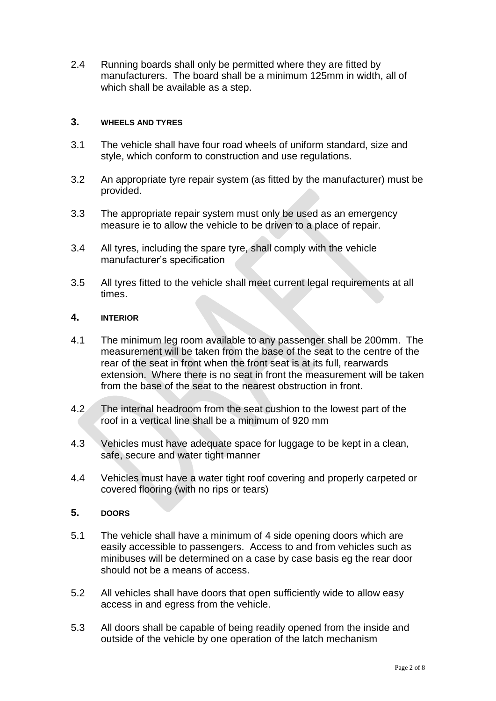2.4 Running boards shall only be permitted where they are fitted by manufacturers. The board shall be a minimum 125mm in width, all of which shall be available as a step.

#### **3. WHEELS AND TYRES**

- 3.1 The vehicle shall have four road wheels of uniform standard, size and style, which conform to construction and use regulations.
- 3.2 An appropriate tyre repair system (as fitted by the manufacturer) must be provided.
- 3.3 The appropriate repair system must only be used as an emergency measure ie to allow the vehicle to be driven to a place of repair.
- 3.4 All tyres, including the spare tyre, shall comply with the vehicle manufacturer's specification
- 3.5 All tyres fitted to the vehicle shall meet current legal requirements at all times.

#### **4. INTERIOR**

- 4.1 The minimum leg room available to any passenger shall be 200mm. The measurement will be taken from the base of the seat to the centre of the rear of the seat in front when the front seat is at its full, rearwards extension. Where there is no seat in front the measurement will be taken from the base of the seat to the nearest obstruction in front.
- 4.2 The internal headroom from the seat cushion to the lowest part of the roof in a vertical line shall be a minimum of 920 mm
- 4.3 Vehicles must have adequate space for luggage to be kept in a clean, safe, secure and water tight manner
- 4.4 Vehicles must have a water tight roof covering and properly carpeted or covered flooring (with no rips or tears)

#### **5. DOORS**

- 5.1 The vehicle shall have a minimum of 4 side opening doors which are easily accessible to passengers. Access to and from vehicles such as minibuses will be determined on a case by case basis eg the rear door should not be a means of access.
- 5.2 All vehicles shall have doors that open sufficiently wide to allow easy access in and egress from the vehicle.
- 5.3 All doors shall be capable of being readily opened from the inside and outside of the vehicle by one operation of the latch mechanism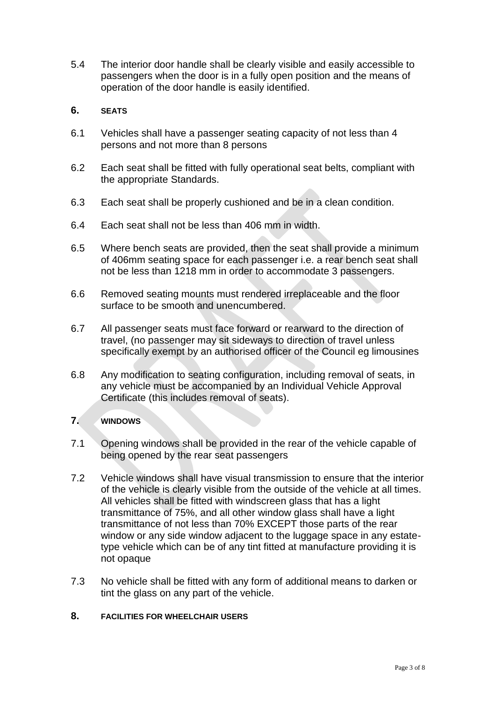5.4 The interior door handle shall be clearly visible and easily accessible to passengers when the door is in a fully open position and the means of operation of the door handle is easily identified.

#### **6. SEATS**

- 6.1 Vehicles shall have a passenger seating capacity of not less than 4 persons and not more than 8 persons
- 6.2 Each seat shall be fitted with fully operational seat belts, compliant with the appropriate Standards.
- 6.3 Each seat shall be properly cushioned and be in a clean condition.
- 6.4 Each seat shall not be less than 406 mm in width.
- 6.5 Where bench seats are provided, then the seat shall provide a minimum of 406mm seating space for each passenger i.e. a rear bench seat shall not be less than 1218 mm in order to accommodate 3 passengers.
- 6.6 Removed seating mounts must rendered irreplaceable and the floor surface to be smooth and unencumbered.
- 6.7 All passenger seats must face forward or rearward to the direction of travel, (no passenger may sit sideways to direction of travel unless specifically exempt by an authorised officer of the Council eg limousines
- 6.8 Any modification to seating configuration, including removal of seats, in any vehicle must be accompanied by an Individual Vehicle Approval Certificate (this includes removal of seats).

#### **7. WINDOWS**

- 7.1 Opening windows shall be provided in the rear of the vehicle capable of being opened by the rear seat passengers
- 7.2 Vehicle windows shall have visual transmission to ensure that the interior of the vehicle is clearly visible from the outside of the vehicle at all times. All vehicles shall be fitted with windscreen glass that has a light transmittance of 75%, and all other window glass shall have a light transmittance of not less than 70% EXCEPT those parts of the rear window or any side window adjacent to the luggage space in any estatetype vehicle which can be of any tint fitted at manufacture providing it is not opaque
- 7.3 No vehicle shall be fitted with any form of additional means to darken or tint the glass on any part of the vehicle.

#### **8. FACILITIES FOR WHEELCHAIR USERS**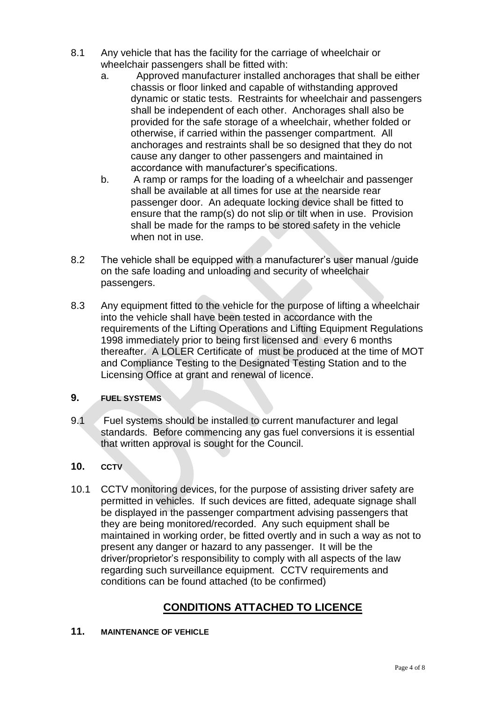- 8.1 Any vehicle that has the facility for the carriage of wheelchair or wheelchair passengers shall be fitted with:
	- a. Approved manufacturer installed anchorages that shall be either chassis or floor linked and capable of withstanding approved dynamic or static tests. Restraints for wheelchair and passengers shall be independent of each other. Anchorages shall also be provided for the safe storage of a wheelchair, whether folded or otherwise, if carried within the passenger compartment. All anchorages and restraints shall be so designed that they do not cause any danger to other passengers and maintained in accordance with manufacturer's specifications.
	- b. A ramp or ramps for the loading of a wheelchair and passenger shall be available at all times for use at the nearside rear passenger door. An adequate locking device shall be fitted to ensure that the ramp(s) do not slip or tilt when in use. Provision shall be made for the ramps to be stored safety in the vehicle when not in use.
- 8.2 The vehicle shall be equipped with a manufacturer's user manual /guide on the safe loading and unloading and security of wheelchair passengers.
- 8.3 Any equipment fitted to the vehicle for the purpose of lifting a wheelchair into the vehicle shall have been tested in accordance with the requirements of the Lifting Operations and Lifting Equipment Regulations 1998 immediately prior to being first licensed and every 6 months thereafter. A LOLER Certificate of must be produced at the time of MOT and Compliance Testing to the Designated Testing Station and to the Licensing Office at grant and renewal of licence.

## **9. FUEL SYSTEMS**

- 9.1 Fuel systems should be installed to current manufacturer and legal standards. Before commencing any gas fuel conversions it is essential that written approval is sought for the Council.
- **10. CCTV**
- 10.1 CCTV monitoring devices, for the purpose of assisting driver safety are permitted in vehicles. If such devices are fitted, adequate signage shall be displayed in the passenger compartment advising passengers that they are being monitored/recorded. Any such equipment shall be maintained in working order, be fitted overtly and in such a way as not to present any danger or hazard to any passenger. It will be the driver/proprietor's responsibility to comply with all aspects of the law regarding such surveillance equipment. CCTV requirements and conditions can be found attached (to be confirmed)

# **CONDITIONS ATTACHED TO LICENCE**

#### **11. MAINTENANCE OF VEHICLE**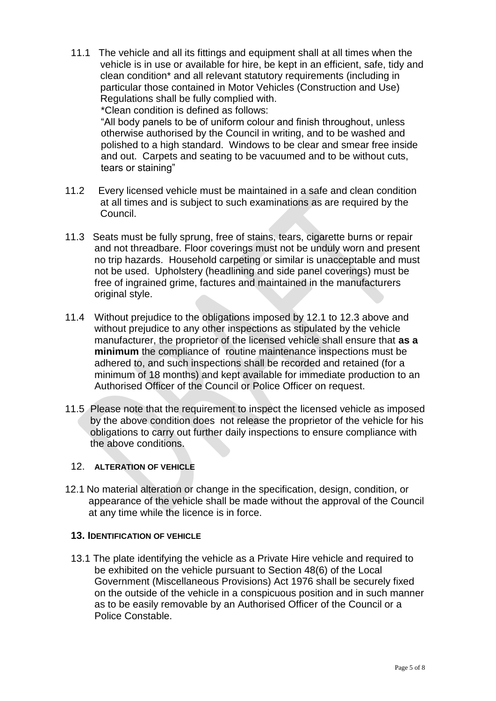11.1 The vehicle and all its fittings and equipment shall at all times when the vehicle is in use or available for hire, be kept in an efficient, safe, tidy and clean condition\* and all relevant statutory requirements (including in particular those contained in Motor Vehicles (Construction and Use) Regulations shall be fully complied with. \*Clean condition is defined as follows: "All body panels to be of uniform colour and finish throughout, unless otherwise authorised by the Council in writing, and to be washed and

polished to a high standard. Windows to be clear and smear free inside and out. Carpets and seating to be vacuumed and to be without cuts, tears or staining"

- 11.2 Every licensed vehicle must be maintained in a safe and clean condition at all times and is subject to such examinations as are required by the Council.
- 11.3 Seats must be fully sprung, free of stains, tears, cigarette burns or repair and not threadbare. Floor coverings must not be unduly worn and present no trip hazards. Household carpeting or similar is unacceptable and must not be used. Upholstery (headlining and side panel coverings) must be free of ingrained grime, factures and maintained in the manufacturers original style.
- 11.4 Without prejudice to the obligations imposed by 12.1 to 12.3 above and without prejudice to any other inspections as stipulated by the vehicle manufacturer, the proprietor of the licensed vehicle shall ensure that **as a minimum** the compliance of routine maintenance inspections must be adhered to, and such inspections shall be recorded and retained (for a minimum of 18 months) and kept available for immediate production to an Authorised Officer of the Council or Police Officer on request.
- 11.5 Please note that the requirement to inspect the licensed vehicle as imposed by the above condition does not release the proprietor of the vehicle for his obligations to carry out further daily inspections to ensure compliance with the above conditions.

## 12. **ALTERATION OF VEHICLE**

12.1 No material alteration or change in the specification, design, condition, or appearance of the vehicle shall be made without the approval of the Council at any time while the licence is in force.

#### **13. IDENTIFICATION OF VEHICLE**

13.1 The plate identifying the vehicle as a Private Hire vehicle and required to be exhibited on the vehicle pursuant to Section 48(6) of the Local Government (Miscellaneous Provisions) Act 1976 shall be securely fixed on the outside of the vehicle in a conspicuous position and in such manner as to be easily removable by an Authorised Officer of the Council or a Police Constable.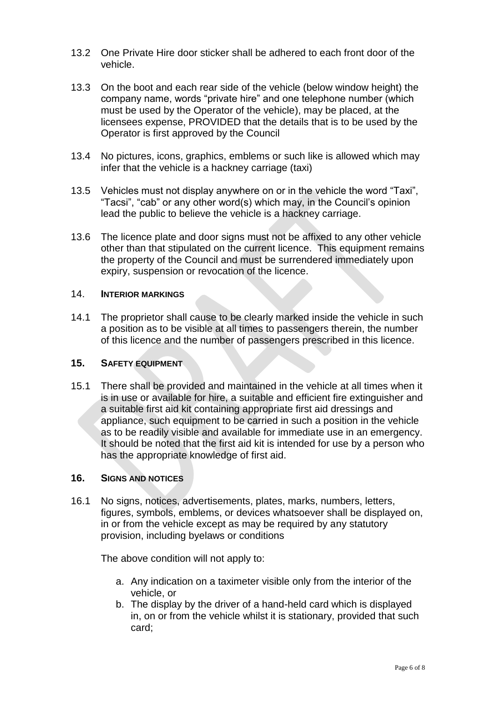- 13.2 One Private Hire door sticker shall be adhered to each front door of the vehicle.
- 13.3 On the boot and each rear side of the vehicle (below window height) the company name, words "private hire" and one telephone number (which must be used by the Operator of the vehicle), may be placed, at the licensees expense, PROVIDED that the details that is to be used by the Operator is first approved by the Council
- 13.4 No pictures, icons, graphics, emblems or such like is allowed which may infer that the vehicle is a hackney carriage (taxi)
- 13.5 Vehicles must not display anywhere on or in the vehicle the word "Taxi", "Tacsi", "cab" or any other word(s) which may, in the Council's opinion lead the public to believe the vehicle is a hackney carriage.
- 13.6 The licence plate and door signs must not be affixed to any other vehicle other than that stipulated on the current licence. This equipment remains the property of the Council and must be surrendered immediately upon expiry, suspension or revocation of the licence.

#### 14. **INTERIOR MARKINGS**

14.1 The proprietor shall cause to be clearly marked inside the vehicle in such a position as to be visible at all times to passengers therein, the number of this licence and the number of passengers prescribed in this licence.

#### **15. SAFETY EQUIPMENT**

15.1 There shall be provided and maintained in the vehicle at all times when it is in use or available for hire, a suitable and efficient fire extinguisher and a suitable first aid kit containing appropriate first aid dressings and appliance, such equipment to be carried in such a position in the vehicle as to be readily visible and available for immediate use in an emergency. It should be noted that the first aid kit is intended for use by a person who has the appropriate knowledge of first aid.

#### **16. SIGNS AND NOTICES**

16.1 No signs, notices, advertisements, plates, marks, numbers, letters, figures, symbols, emblems, or devices whatsoever shall be displayed on, in or from the vehicle except as may be required by any statutory provision, including byelaws or conditions

The above condition will not apply to:

- a. Any indication on a taximeter visible only from the interior of the vehicle, or
- b. The display by the driver of a hand-held card which is displayed in, on or from the vehicle whilst it is stationary, provided that such card;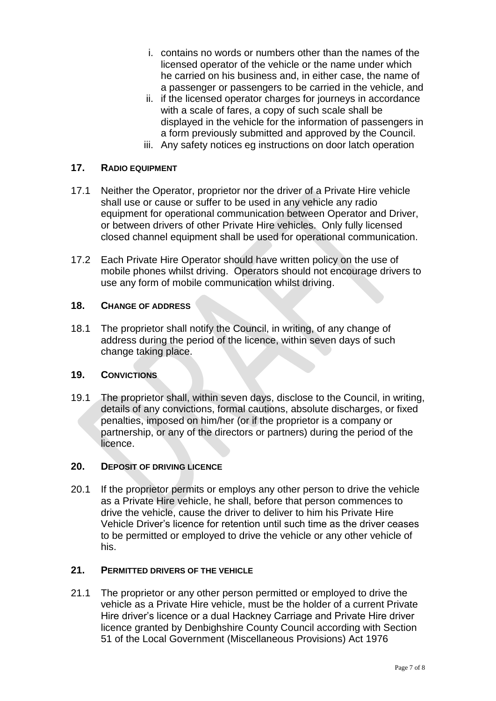- i. contains no words or numbers other than the names of the licensed operator of the vehicle or the name under which he carried on his business and, in either case, the name of a passenger or passengers to be carried in the vehicle, and
- ii. if the licensed operator charges for journeys in accordance with a scale of fares, a copy of such scale shall be displayed in the vehicle for the information of passengers in a form previously submitted and approved by the Council.
- iii. Any safety notices eg instructions on door latch operation

#### **17. RADIO EQUIPMENT**

- 17.1 Neither the Operator, proprietor nor the driver of a Private Hire vehicle shall use or cause or suffer to be used in any vehicle any radio equipment for operational communication between Operator and Driver, or between drivers of other Private Hire vehicles. Only fully licensed closed channel equipment shall be used for operational communication.
- 17.2 Each Private Hire Operator should have written policy on the use of mobile phones whilst driving. Operators should not encourage drivers to use any form of mobile communication whilst driving.

## **18. CHANGE OF ADDRESS**

18.1 The proprietor shall notify the Council, in writing, of any change of address during the period of the licence, within seven days of such change taking place.

#### **19. CONVICTIONS**

19.1 The proprietor shall, within seven days, disclose to the Council, in writing, details of any convictions, formal cautions, absolute discharges, or fixed penalties, imposed on him/her (or if the proprietor is a company or partnership, or any of the directors or partners) during the period of the licence.

#### **20. DEPOSIT OF DRIVING LICENCE**

20.1 If the proprietor permits or employs any other person to drive the vehicle as a Private Hire vehicle, he shall, before that person commences to drive the vehicle, cause the driver to deliver to him his Private Hire Vehicle Driver's licence for retention until such time as the driver ceases to be permitted or employed to drive the vehicle or any other vehicle of his.

## **21. PERMITTED DRIVERS OF THE VEHICLE**

21.1 The proprietor or any other person permitted or employed to drive the vehicle as a Private Hire vehicle, must be the holder of a current Private Hire driver's licence or a dual Hackney Carriage and Private Hire driver licence granted by Denbighshire County Council according with Section 51 of the Local Government (Miscellaneous Provisions) Act 1976